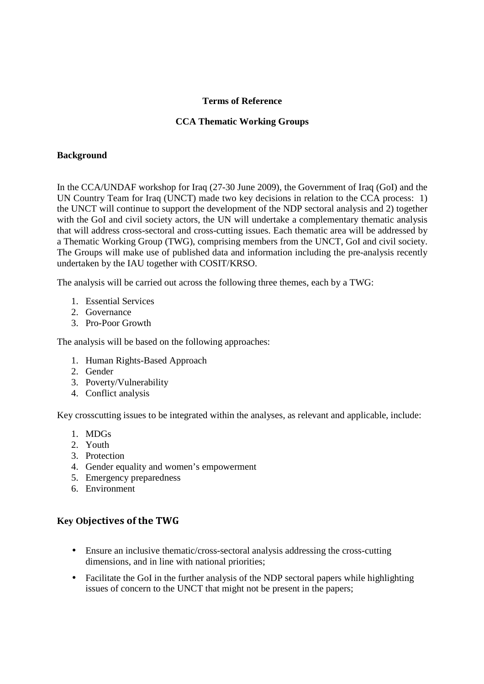#### **Terms of Reference**

#### **CCA Thematic Working Groups**

#### **Background**

In the CCA/UNDAF workshop for Iraq (27-30 June 2009), the Government of Iraq (GoI) and the UN Country Team for Iraq (UNCT) made two key decisions in relation to the CCA process: 1) the UNCT will continue to support the development of the NDP sectoral analysis and 2) together with the GoI and civil society actors, the UN will undertake a complementary thematic analysis that will address cross-sectoral and cross-cutting issues. Each thematic area will be addressed by a Thematic Working Group (TWG), comprising members from the UNCT, GoI and civil society. The Groups will make use of published data and information including the pre-analysis recently undertaken by the IAU together with COSIT/KRSO.

The analysis will be carried out across the following three themes, each by a TWG:

- 1. Essential Services
- 2. Governance
- 3. Pro-Poor Growth

The analysis will be based on the following approaches:

- 1. Human Rights-Based Approach
- 2. Gender
- 3. Poverty/Vulnerability
- 4. Conflict analysis

Key crosscutting issues to be integrated within the analyses, as relevant and applicable, include:

- 1. MDGs
- 2. Youth
- 3. Protection
- 4. Gender equality and women's empowerment
- 5. Emergency preparedness
- 6. Environment

## **Key Ob**jectives of the TWG

- Ensure an inclusive thematic/cross-sectoral analysis addressing the cross-cutting dimensions, and in line with national priorities;
- Facilitate the GoI in the further analysis of the NDP sectoral papers while highlighting issues of concern to the UNCT that might not be present in the papers;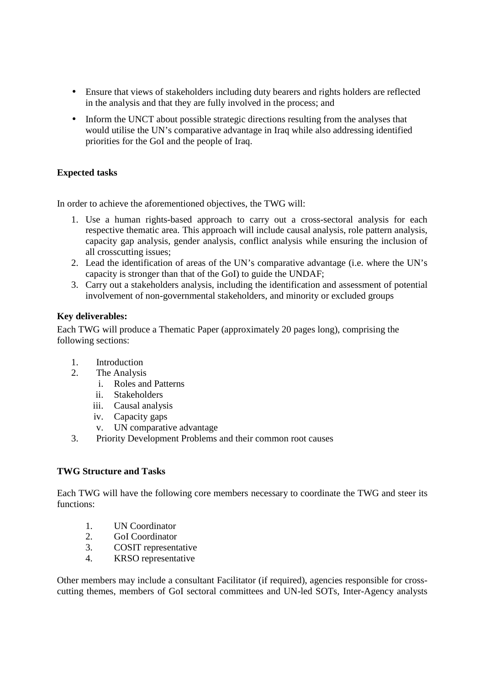- Ensure that views of stakeholders including duty bearers and rights holders are reflected in the analysis and that they are fully involved in the process; and
- Inform the UNCT about possible strategic directions resulting from the analyses that would utilise the UN's comparative advantage in Iraq while also addressing identified priorities for the GoI and the people of Iraq.

# **Expected tasks**

In order to achieve the aforementioned objectives, the TWG will:

- 1. Use a human rights-based approach to carry out a cross-sectoral analysis for each respective thematic area. This approach will include causal analysis, role pattern analysis, capacity gap analysis, gender analysis, conflict analysis while ensuring the inclusion of all crosscutting issues;
- 2. Lead the identification of areas of the UN's comparative advantage (i.e. where the UN's capacity is stronger than that of the GoI) to guide the UNDAF;
- 3. Carry out a stakeholders analysis, including the identification and assessment of potential involvement of non-governmental stakeholders, and minority or excluded groups

## **Key deliverables:**

Each TWG will produce a Thematic Paper (approximately 20 pages long), comprising the following sections:

- 1. Introduction
- 2. The Analysis
	- i. Roles and Patterns
	- ii. Stakeholders
	- iii. Causal analysis
	- iv. Capacity gaps
	- v. UN comparative advantage
- 3. Priority Development Problems and their common root causes

## **TWG Structure and Tasks**

Each TWG will have the following core members necessary to coordinate the TWG and steer its functions:

- 1. UN Coordinator
- 2. GoI Coordinator
- 3. COSIT representative
- 4. KRSO representative

Other members may include a consultant Facilitator (if required), agencies responsible for crosscutting themes, members of GoI sectoral committees and UN-led SOTs, Inter-Agency analysts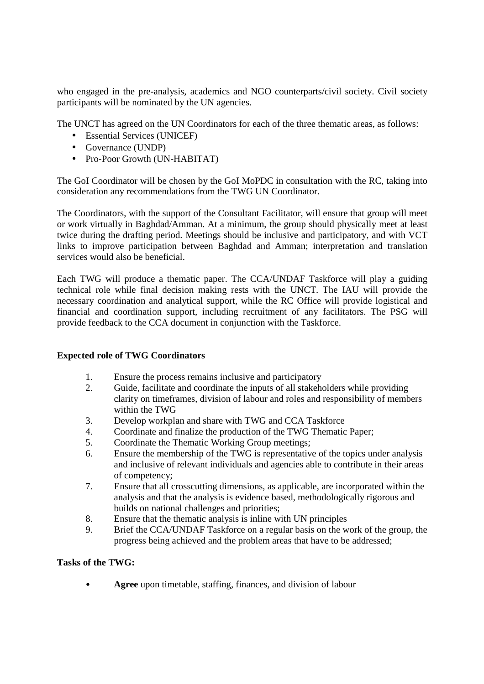who engaged in the pre-analysis, academics and NGO counterparts/civil society. Civil society participants will be nominated by the UN agencies.

The UNCT has agreed on the UN Coordinators for each of the three thematic areas, as follows:

- Essential Services (UNICEF)
- Governance (UNDP)
- Pro-Poor Growth (UN-HABITAT)

The GoI Coordinator will be chosen by the GoI MoPDC in consultation with the RC, taking into consideration any recommendations from the TWG UN Coordinator.

The Coordinators, with the support of the Consultant Facilitator, will ensure that group will meet or work virtually in Baghdad/Amman. At a minimum, the group should physically meet at least twice during the drafting period. Meetings should be inclusive and participatory, and with VCT links to improve participation between Baghdad and Amman; interpretation and translation services would also be beneficial.

Each TWG will produce a thematic paper. The CCA/UNDAF Taskforce will play a guiding technical role while final decision making rests with the UNCT. The IAU will provide the necessary coordination and analytical support, while the RC Office will provide logistical and financial and coordination support, including recruitment of any facilitators. The PSG will provide feedback to the CCA document in conjunction with the Taskforce.

## **Expected role of TWG Coordinators**

- 1. Ensure the process remains inclusive and participatory
- 2. Guide, facilitate and coordinate the inputs of all stakeholders while providing clarity on timeframes, division of labour and roles and responsibility of members within the TWG
- 3. Develop workplan and share with TWG and CCA Taskforce
- 4. Coordinate and finalize the production of the TWG Thematic Paper;
- 5. Coordinate the Thematic Working Group meetings;
- 6. Ensure the membership of the TWG is representative of the topics under analysis and inclusive of relevant individuals and agencies able to contribute in their areas of competency;
- 7. Ensure that all crosscutting dimensions, as applicable, are incorporated within the analysis and that the analysis is evidence based, methodologically rigorous and builds on national challenges and priorities;
- 8. Ensure that the thematic analysis is inline with UN principles
- 9. Brief the CCA/UNDAF Taskforce on a regular basis on the work of the group, the progress being achieved and the problem areas that have to be addressed;

#### **Tasks of the TWG:**

• **Agree** upon timetable, staffing, finances, and division of labour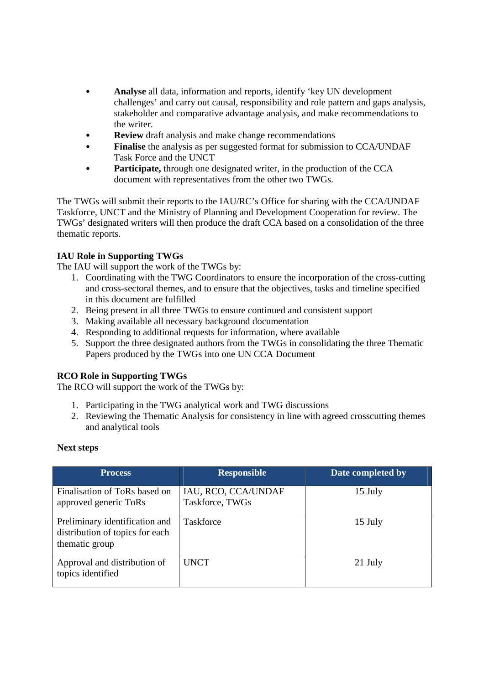- **Analyse** all data, information and reports, identify 'key UN development challenges' and carry out causal, responsibility and role pattern and gaps analysis, stakeholder and comparative advantage analysis, and make recommendations to the writer.
- **Review** draft analysis and make change recommendations
- **Finalise** the analysis as per suggested format for submission to CCA/UNDAF Task Force and the UNCT
- Participate, through one designated writer, in the production of the CCA document with representatives from the other two TWGs.

The TWGs will submit their reports to the IAU/RC's Office for sharing with the CCA/UNDAF Taskforce, UNCT and the Ministry of Planning and Development Cooperation for review. The TWGs' designated writers will then produce the draft CCA based on a consolidation of the three thematic reports.

## **IAU Role in Supporting TWGs**

The IAU will support the work of the TWGs by:

- 1. Coordinating with the TWG Coordinators to ensure the incorporation of the cross-cutting and cross-sectoral themes, and to ensure that the objectives, tasks and timeline specified in this document are fulfilled
- 2. Being present in all three TWGs to ensure continued and consistent support
- 3. Making available all necessary background documentation
- 4. Responding to additional requests for information, where available
- 5. Support the three designated authors from the TWGs in consolidating the three Thematic Papers produced by the TWGs into one UN CCA Document

## **RCO Role in Supporting TWGs**

The RCO will support the work of the TWGs by:

- 1. Participating in the TWG analytical work and TWG discussions
- 2. Reviewing the Thematic Analysis for consistency in line with agreed crosscutting themes and analytical tools

#### **Next steps**

| <b>Process</b>                                                                      | <b>Responsible</b>                     | Date completed by |
|-------------------------------------------------------------------------------------|----------------------------------------|-------------------|
| Finalisation of ToRs based on<br>approved generic ToRs                              | IAU, RCO, CCA/UNDAF<br>Taskforce, TWGs | 15 July           |
| Preliminary identification and<br>distribution of topics for each<br>thematic group | Taskforce                              | 15 July           |
| Approval and distribution of<br>topics identified                                   | <b>UNCT</b>                            | 21 July           |